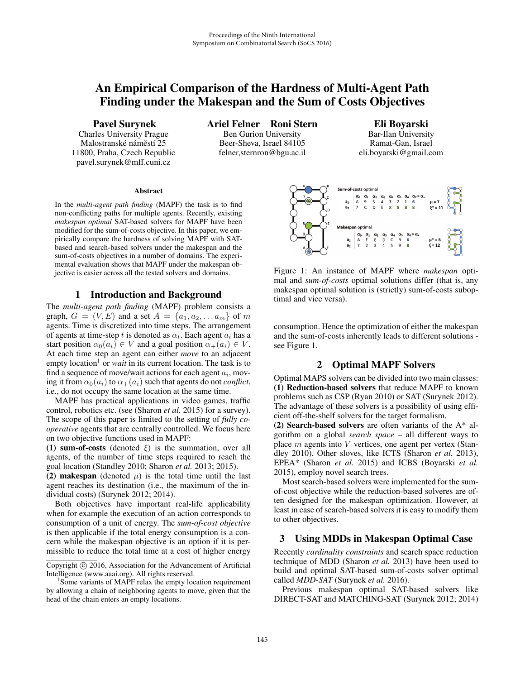# An Empirical Comparison of the Hardness of Multi-Agent Path Finding under the Makespan and the Sum of Costs Objectives

Pavel Surynek

Charles University Prague Malostranské náměstí 25 11800, Praha, Czech Republic pavel.surynek@mff.cuni.cz

Ariel Felner Roni Stern Ben Gurion University Beer-Sheva, Israel 84105 felner,sternron@bgu.ac.il

Eli Boyarski Bar-Ilan University Ramat-Gan, Israel eli.boyarski@gmail.com

#### Abstract

In the *multi-agent path finding* (MAPF) the task is to find non-conflicting paths for multiple agents. Recently, existing *makespan optimal* SAT-based solvers for MAPF have been modified for the sum-of-costs objective. In this paper, we empirically compare the hardness of solving MAPF with SATbased and search-based solvers under the makespan and the sum-of-costs objectives in a number of domains. The experimental evaluation shows that MAPF under the makespan objective is easier across all the tested solvers and domains.

#### 1 Introduction and Background

The *multi-agent path finding* (MAPF) problem consists a graph,  $G = (V, E)$  and a set  $A = \{a_1, a_2, \ldots a_m\}$  of m agents. Time is discretized into time steps. The arrangement of agents at time-step t is denoted as  $\alpha_t$ . Each agent  $a_i$  has a start position  $\alpha_0(a_i) \in V$  and a goal position  $\alpha_+(a_i) \in V$ . At each time step an agent can either *move* to an adjacent empty location<sup>1</sup> or *wait* in its current location. The task is to find a sequence of move/wait actions for each agent  $a_i$ , moving it from  $\alpha_0(a_i)$  to  $\alpha_+(a_i)$  such that agents do not *conflict*, i.e., do not occupy the same location at the same time.

MAPF has practical applications in video games, traffic control, robotics etc. (see (Sharon *et al.* 2015) for a survey). The scope of this paper is limited to the setting of *fully cooperative* agents that are centrally controlled. We focus here on two objective functions used in MAPF:

(1) sum-of-costs (denoted  $\xi$ ) is the summation, over all agents, of the number of time steps required to reach the goal location (Standley 2010; Sharon *et al.* 2013; 2015).

(2) makespan (denoted  $\mu$ ) is the total time until the last agent reaches its destination (i.e., the maximum of the individual costs) (Surynek 2012; 2014).

Both objectives have important real-life applicability when for example the execution of an action corresponds to consumption of a unit of energy. The *sum-of-cost objective* is then applicable if the total energy consumption is a concern while the makespan objective is an option if it is permissible to reduce the total time at a cost of higher energy



Figure 1: An instance of MAPF where *makespan* optimal and *sum-of-costs* optimal solutions differ (that is, any makespan optimal solution is (strictly) sum-of-costs suboptimal and vice versa).

consumption. Hence the optimization of either the makespan and the sum-of-costs inherently leads to different solutions see Figure 1.

### 2 Optimal MAPF Solvers

Optimal MAPS solvers can be divided into two main classes: (1) Reduction-based solvers that reduce MAPF to known problems such as CSP (Ryan 2010) or SAT (Surynek 2012). The advantage of these solvers is a possibility of using efficient off-the-shelf solvers for the target formalism.

(2) Search-based solvers are often variants of the  $A^*$  algorithm on a global *search space* – all different ways to place  $m$  agents into  $V$  vertices, one agent per vertex (Standley 2010). Other sloves, like ICTS (Sharon *et al.* 2013), EPEA\* (Sharon *et al.* 2015) and ICBS (Boyarski *et al.* 2015), employ novel search trees.

Most search-based solvers were implemented for the sumof-cost objective while the reduction-based solveres are often designed for the makespan optimization. However, at least in case of search-based solvers it is easy to modify them to other objectives.

### 3 Using MDDs in Makespan Optimal Case

Recently *cardinality constraints* and search space reduction technique of MDD (Sharon *et al.* 2013) have been used to build and optimal SAT-based sum-of-costs solver optimal called *MDD-SAT* (Surynek *et al.* 2016).

Previous makespan optimal SAT-based solvers like DIRECT-SAT and MATCHING-SAT (Surynek 2012; 2014)

Copyright  $\odot$  2016, Association for the Advancement of Artificial Intelligence (www.aaai.org). All rights reserved.

 $<sup>1</sup>$  Some variants of MAPF relax the empty location requirement</sup> by allowing a chain of neighboring agents to move, given that the head of the chain enters an empty locations.